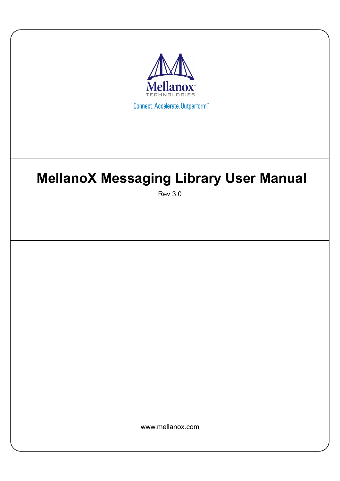

# **MellanoX Messaging Library User Manual**

Rev 3.0

www.mellanox.com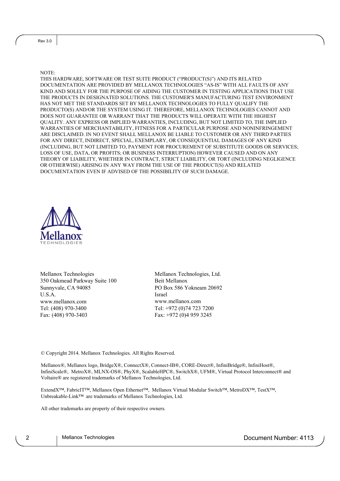NOTE:

THIS HARDWARE, SOFTWARE OR TEST SUITE PRODUCT ("PRODUCT(S)") AND ITS RELATED DOCUMENTATION ARE PROVIDED BY MELLANOX TECHNOLOGIES "AS-IS" WITH ALL FAULTS OF ANY KIND AND SOLELY FOR THE PURPOSE OF AIDING THE CUSTOMER IN TESTING APPLICATIONS THAT USE THE PRODUCTS IN DESIGNATED SOLUTIONS. THE CUSTOMER'S MANUFACTURING TEST ENVIRONMENT HAS NOT MET THE STANDARDS SET BY MELLANOX TECHNOLOGIES TO FULLY QUALIFY THE PRODUCTO(S) AND/OR THE SYSTEM USING IT. THEREFORE, MELLANOX TECHNOLOGIES CANNOT AND DOES NOT GUARANTEE OR WARRANT THAT THE PRODUCTS WILL OPERATE WITH THE HIGHEST QUALITY. ANY EXPRESS OR IMPLIED WARRANTIES, INCLUDING, BUT NOT LIMITED TO, THE IMPLIED WARRANTIES OF MERCHANTABILITY, FITNESS FOR A PARTICULAR PURPOSE AND NONINFRINGEMENT ARE DISCLAIMED. IN NO EVENT SHALL MELLANOX BE LIABLE TO CUSTOMER OR ANY THIRD PARTIES FOR ANY DIRECT, INDIRECT, SPECIAL, EXEMPLARY, OR CONSEQUENTIAL DAMAGES OF ANY KIND (INCLUDING, BUT NOT LIMITED TO, PAYMENT FOR PROCUREMENT OF SUBSTITUTE GOODS OR SERVICES; LOSS OF USE, DATA, OR PROFITS; OR BUSINESS INTERRUPTION) HOWEVER CAUSED AND ON ANY THEORY OF LIABILITY, WHETHER IN CONTRACT, STRICT LIABILITY, OR TORT (INCLUDING NEGLIGENCE OR OTHERWISE) ARISING IN ANY WAY FROM THE USE OF THE PRODUCT(S) AND RELATED DOCUMENTATION EVEN IF ADVISED OF THE POSSIBILITY OF SUCH DAMAGE.



Mellanox Technologies 350 Oakmead Parkway Suite 100 Sunnyvale, CA 94085 U.S.A. www.mellanox.com Tel: (408) 970-3400 Fax: (408) 970-3403

Mellanox Technologies, Ltd. Beit Mellanox PO Box 586 Yokneam 20692 Israel www.mellanox.com Tel: +972 (0)74 723 7200 Fax: +972 (0)4 959 3245

© Copyright 2014. Mellanox Technologies. All Rights Reserved.

Mellanox®, Mellanox logo, BridgeX®, ConnectX®, Connect-IB®, CORE-Direct®, InfiniBridge®, InfiniHost®, InfiniScale®, MetroX®, MLNX-OS®, PhyX®, ScalableHPC®, SwitchX®, UFM®, Virtual Protocol Interconnect® and Voltaire® are registered trademarks of Mellanox Technologies, Ltd.

ExtendX™, FabricIT™, Mellanox Open Ethernet™, Mellanox Virtual Modular Switch™, MetroDX™, TestX™, Unbreakable-Link™ are trademarks of Mellanox Technologies, Ltd.

All other trademarks are property of their respective owners.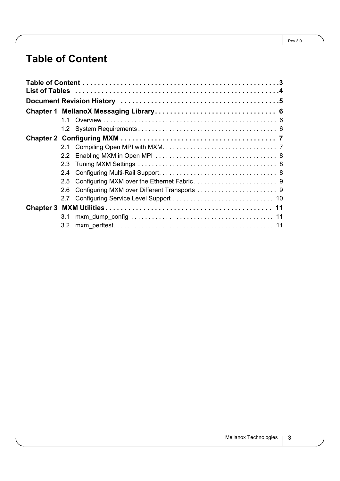## <span id="page-2-0"></span>**Table of Content**

|  | 11  |  |  |  |  |  |  |  |
|--|-----|--|--|--|--|--|--|--|
|  |     |  |  |  |  |  |  |  |
|  |     |  |  |  |  |  |  |  |
|  |     |  |  |  |  |  |  |  |
|  | 22  |  |  |  |  |  |  |  |
|  | 2.3 |  |  |  |  |  |  |  |
|  | 2.4 |  |  |  |  |  |  |  |
|  | 2.5 |  |  |  |  |  |  |  |
|  | 2.6 |  |  |  |  |  |  |  |
|  |     |  |  |  |  |  |  |  |
|  |     |  |  |  |  |  |  |  |
|  | 3.1 |  |  |  |  |  |  |  |
|  | 3.2 |  |  |  |  |  |  |  |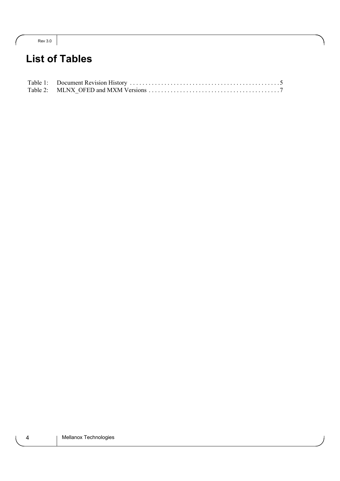| ×<br>۰.<br>× | ٠<br>×<br>I |
|--------------|-------------|
|--------------|-------------|

## <span id="page-3-0"></span>**List of Tables**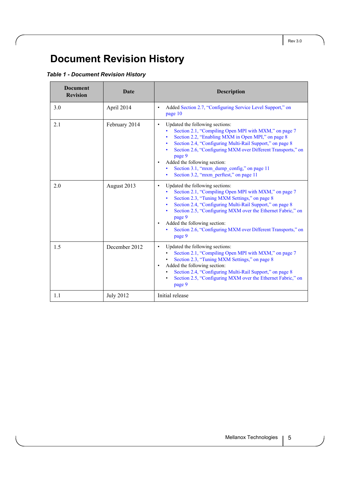## <span id="page-4-0"></span>**Document Revision History**

#### <span id="page-4-1"></span>*Table 1 - Document Revision History*

| <b>Document</b><br><b>Revision</b> | Date             | <b>Description</b>                                                                                                                                                                                                                                                                                                                                                                                                                      |
|------------------------------------|------------------|-----------------------------------------------------------------------------------------------------------------------------------------------------------------------------------------------------------------------------------------------------------------------------------------------------------------------------------------------------------------------------------------------------------------------------------------|
| 3.0                                | April 2014       | Added Section 2.7, "Configuring Service Level Support," on<br>$\bullet$<br>page 10                                                                                                                                                                                                                                                                                                                                                      |
| 2.1                                | February 2014    | Updated the following sections:<br>$\bullet$<br>Section 2.1, "Compiling Open MPI with MXM," on page 7<br>Section 2.2, "Enabling MXM in Open MPI," on page 8<br>Section 2.4, "Configuring Multi-Rail Support," on page 8<br>Section 2.6, "Configuring MXM over Different Transports," on<br>page 9<br>Added the following section:<br>$\bullet$<br>Section 3.1, "mxm dump config," on page 11<br>Section 3.2, "mxm perftest," on page 11 |
| 2.0                                | August 2013      | Updated the following sections:<br>$\bullet$<br>Section 2.1, "Compiling Open MPI with MXM," on page 7<br>Section 2.3, "Tuning MXM Settings," on page 8<br>Section 2.4, "Configuring Multi-Rail Support," on page 8<br>Section 2.5, "Configuring MXM over the Ethernet Fabric," on<br>page 9<br>Added the following section:<br>$\bullet$<br>Section 2.6, "Configuring MXM over Different Transports," on<br>page 9                      |
| 1.5                                | December 2012    | Updated the following sections:<br>$\bullet$<br>Section 2.1, "Compiling Open MPI with MXM," on page 7<br>Section 2.3, "Tuning MXM Settings," on page 8<br>Added the following section:<br>$\bullet$<br>Section 2.4, "Configuring Multi-Rail Support," on page 8<br>Section 2.5, "Configuring MXM over the Ethernet Fabric," on<br>page 9                                                                                                |
| 1.1                                | <b>July 2012</b> | Initial release                                                                                                                                                                                                                                                                                                                                                                                                                         |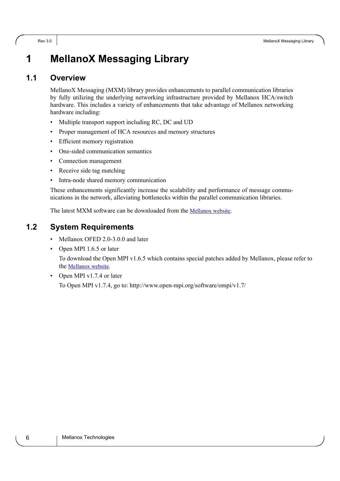## <span id="page-5-0"></span>**1 MellanoX Messaging Library**

#### <span id="page-5-1"></span>**1.1 Overview**

MellanoX Messaging (MXM) library provides enhancements to parallel communication libraries by fully utilizing the underlying networking infrastructure provided by Mellanox HCA/switch hardware. This includes a variety of enhancements that take advantage of Mellanox networking hardware including:

- Multiple transport support including RC, DC and UD
- Proper management of HCA resources and memory structures
- Efficient memory registration
- One-sided communication semantics
- Connection management
- Receive side tag matching
- Intra-node shared memory communication

These enhancements significantly increase the scalability and performance of message communications in the network, alleviating bottlenecks within the parallel communication libraries.

The latest MXM software can be downloaded from the **Mellanox website**[.](http://www.mellanox.com/content/pages.php?pg=products_dyn&product_family=135&menu_section=73)

#### <span id="page-5-2"></span>**1.2 System Requirements**

- Mellanox OFED 2.0-3.0.0 and later
- Open MPI 1.6.5 or later

To download the Open MPI v1.6.5 which contains special patches added by Mellanox, please refer to the [Mellanox website.](http://www.mellanox.com/page/products_dyn?product_family=135&menu_section=73)

• Open MPI v1.7.4 or later To Open MPI v1.7.4, go to: http://www.open-mpi.org/software/ompi/v1.7/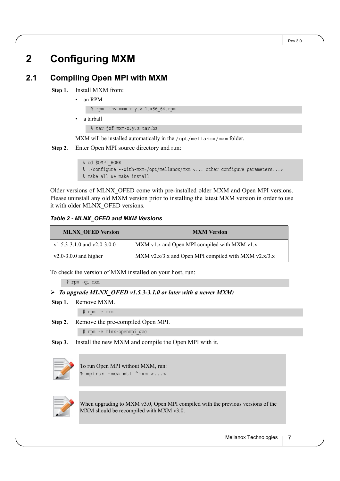## <span id="page-6-0"></span>**2 Configuring MXM**

### <span id="page-6-1"></span>**2.1 Compiling Open MPI with MXM**

 **Step 1.** Install MXM from:

• an RPM

% rpm -ihv mxm-x.y.z-1.x86\_64.rpm

• a tarball

% tar jxf mxm-x.y.z.tar.bz

MXM will be installed automatically in the /opt/mellanox/mxm folder.

 **Step 2.** Enter Open MPI source directory and run:

```
% cd $OMPI_HOME
% ./configure --with-mxm=/opt/mellanox/mxm <... other configure parameters...>
% make all && make install
```
Older versions of MLNX\_OFED come with pre-installed older MXM and Open MPI versions. Please uninstall any old MXM version prior to installing the latest MXM version in order to use it with older MLNX\_OFED versions.

#### <span id="page-6-2"></span>*Table 2 - MLNX\_OFED and MXM Versions*

| <b>MLNX OFED Version</b>    | <b>MXM</b> Version                                   |
|-----------------------------|------------------------------------------------------|
| v1.5.3-3.1.0 and v2.0-3.0.0 | MXM v1.x and Open MPI compiled with MXM v1.x         |
| $v2.0-3.0.0$ and higher     | MXM v2.x/3.x and Open MPI compiled with MXM v2.x/3.x |

To check the version of MXM installed on your host, run:

% rpm -qi mxm

#### *To upgrade MLNX\_OFED v1.5.3-3.1.0 or later with a newer MXM:*

 **Step 1.** Remove MXM.

# rpm -e mxm

 **Step 2.** Remove the pre-compiled Open MPI.

# rpm -e mlnx-openmpi\_gcc

 **Step 3.** Install the new MXM and compile the Open MPI with it.



To run Open MPI without MXM, run: % mpirun -mca mtl ^mxm <...>



When upgrading to MXM v3.0, Open MPI compiled with the previous versions of the MXM should be recompiled with MXM v3.0.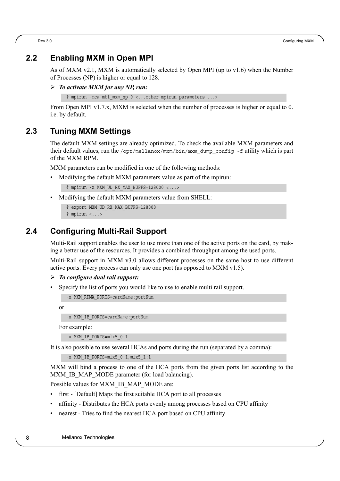#### <span id="page-7-0"></span>**2.2 Enabling MXM in Open MPI**

As of MXM v2.1, MXM is automatically selected by Open MPI (up to v1.6) when the Number of Processes (NP) is higher or equal to 128.

```
 To activate MXM for any NP, run:
```

```
% mpirun -mca mtl mxm np 0 <...other mpirun parameters ...>
```
From Open MPI v1.7.x, MXM is selected when the number of processes is higher or equal to 0. i.e. by default.

#### <span id="page-7-1"></span>**2.3 Tuning MXM Settings**

The default MXM settings are already optimized. To check the available MXM parameters and their default values, run the /opt/mellanox/mxm/bin/mxm\_dump\_config  $-f$  utility which is part of the MXM RPM.

MXM parameters can be modified in one of the following methods:

• Modifying the default MXM parameters value as part of the mpirun:

```
% mpirun -x MXM UD RX MAX BUFFS=128000 <...>
```
• Modifying the default MXM parameters value from SHELL:

```
% export MXM_UD_RX_MAX_BUFFS=128000
% mpirun <...>
```
#### <span id="page-7-2"></span>**2.4 Configuring Multi-Rail Support**

Multi-Rail support enables the user to use more than one of the active ports on the card, by making a better use of the resources. It provides a combined throughput among the used ports.

Multi-Rail support in MXM v3.0 allows different processes on the same host to use different active ports. Every process can only use one port (as opposed to MXM v1.5).

- *To configure dual rail support:*
- Specify the list of ports you would like to use to enable multi rail support.

-x MXM\_RDMA\_PORTS=cardName:portNum

or

```
-x MXM_IB_PORTS=cardName:portNum
```
For example:

-x MXM IB PORTS=mlx5 0:1

It is also possible to use several HCAs and ports during the run (separated by a comma):

```
-x MXM_IB_PORTS=mlx5_0:1,mlx5_1:1
```
MXM will bind a process to one of the HCA ports from the given ports list according to the MXM IB MAP MODE parameter (for load balancing).

Possible values for MXM\_IB\_MAP\_MODE are:

- first [Default] Maps the first suitable HCA port to all processes
- affinity Distributes the HCA ports evenly among processes based on CPU affinity
- nearest Tries to find the nearest HCA port based on CPU affinity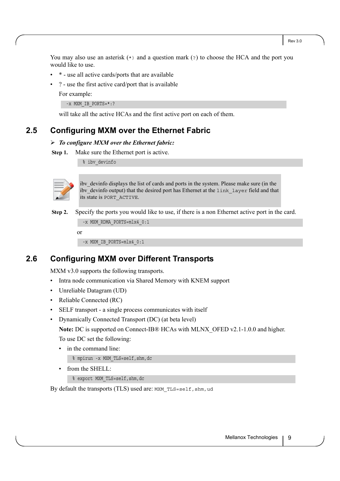Rev 3.0

You may also use an asterisk  $(*)$  and a question mark  $(*)$  to choose the HCA and the port you would like to use.

- \* use all active cards/ports that are available
- ? use the first active card/port that is available

For example:

-x MXM IB PORTS=\*:?

will take all the active HCAs and the first active port on each of them.

#### <span id="page-8-0"></span>**2.5 Configuring MXM over the Ethernet Fabric**

#### *To configure MXM over the Ethernet fabric:*

**Step 1.** Make sure the Ethernet port is active.

% ibv\_devinfo



ibv devinfo displays the list of cards and ports in the system. Please make sure (in the ibv devinfo output) that the desired port has Ethernet at the link layer field and that its state is PORT\_ACTIVE.

#### **Step 2.** Specify the ports you would like to use, if there is a non Ethernet active port in the card.

-x MXM\_RDMA\_PORTS=mlx4\_0:1

or

-x MXM\_IB\_PORTS=mlx4\_0:1

#### <span id="page-8-1"></span>**2.6 Configuring MXM over Different Transports**

MXM v3.0 supports the following transports.

- Intra node communication via Shared Memory with KNEM support
- Unreliable Datagram (UD)
- Reliable Connected (RC)
- SELF transport a single process communicates with itself
- Dynamically Connected Transport (DC) (at beta level)

**Note:** DC is supported on Connect-IB® HCAs with MLNX\_OFED v2.1-1.0.0 and higher.

To use DC set the following:

• in the command line:

% mpirun -x MXM\_TLS=self,shm,dc

• from the SHELL:

% export MXM\_TLS=self,shm,dc

By default the transports (TLS) used are: MXM\_TLS=self, shm, ud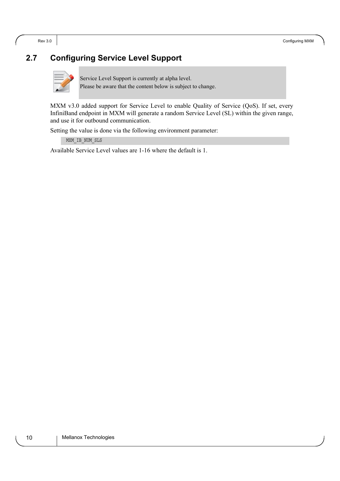#### <span id="page-9-0"></span>**2.7 Configuring Service Level Support**



Service Level Support is currently at alpha level. Please be aware that the content below is subject to change.

MXM v3.0 added support for Service Level to enable Quality of Service (QoS). If set, every InfiniBand endpoint in MXM will generate a random Service Level (SL) within the given range, and use it for outbound communication.

Setting the value is done via the following environment parameter:

MXM\_IB\_NUM\_SLS

Available Service Level values are 1-16 where the default is 1.